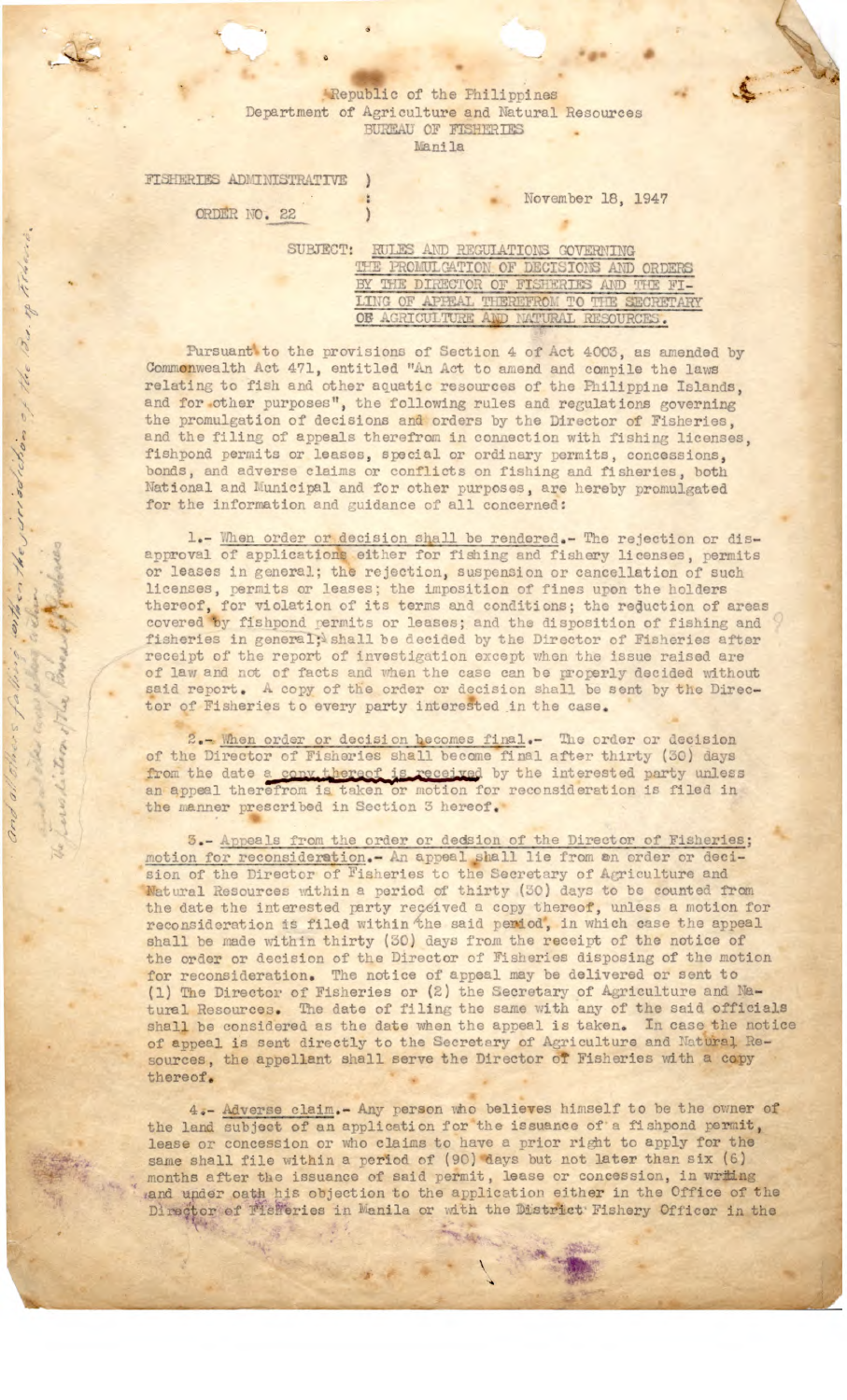## Republic of the Philippines Department of Agriculture and Natural Resources BUREAU OF FISHERIES Manila

## FISHERIES ADMINISTRATIVE

ORDER NO. 22

m Fiberio

en the jurisdiction of the De.

## November 18, 1947

**4** 

SUBJECT: RULES AND REGULATIONS GOVERNING E PROMULGATION OF DECISIONS AND ORDERS BY THE DIRECTOR OF FISHERIES AND THE FI-LING OF APPEAL THEREFROM TO THE SECRETARY *OB AGRICULTUR* 

Pursuant to the provisions of Section 4 of Act 4003, as amended by Commonwealth Act 471, entitled "An Act to amend and compile the laws relating to fish and other aquatic resources of the Philippine Islands, and for other purposes", the following rules and regulations governing the promulgation of decisions and orders by the Director of Fisheries, and the filing of appeals therefrom in connection with fishing licenses, fishpond permits or leases, special or ordinary permits, concessions, bonds, and adverse claims or conflicts on fishing and fisheries, both National and Municipal and for other purposes, are hereby promulgated for the information and guidance of all concerned:

1.- When order or decision shall be rendered.- The rejection or disapproval of applications either for fishing and fishery licenses, permits or leases in general; the rejection, suspension or cancellation of such licenses, permits or leases; the imposition of fines upon the holders thereof, for violation of its terms and conditions; the reduction of areas covered by fishpond permits or leases; and the disposition of fishing and fisheries in general; shall be decided by the Director of Fisheries after receipt of the report of investigation except when the issue raised are of law and not of facts and when the case can be properly decided without said report. A copy of the order or decision shall be sent by the Director of Fisheries to every party interested in the case.

.- When order or decision becomes final.- The order or decision of the Director of Fisheries shall become final after thirty (30) days from the date a convithereof is received by the interested party unless an appeal therefrom is taken or motion for reconsideration is filed in of the Director of Fisheries shall the manner of the manner prescribed in Section 3 here are motion to the manner prescribed in Section 3 here

> eals from the order or dedsion of the Director of Fisheries; motion for reconsideration.- An appeal shall lie from an order or decision of the Director of Fisheries to the Secretary of Agriculture and Natural Resources within a period of thirty (30) days to be counted from the date the interested party reçeived a copy thereof, unless a motion for reconsideration is filed within the said period, in which case the appeal shall be made within thirty (SO) days from the receipt of the notice of the order or decision of the Director of Fisheries disposing of the motion for reconsideration. The notice of appeal may be delivered or sent **to**  (1) The Director of Fisheries or (2) the Secretary of Agriculture and Natural Resources. The date of filing the same with any of the said officials shall be considered as the date when the appeal is taken. In case the notice of appeal is sent directly to the Secretary of Agriculture and Natural Resources, the appellant shall serve the Director of Fisheries with a copy thereof.

4.- Adverse claim.- Any person sho believes himself to he the owner of the land subject of an application for the issuance of a fishpond permit, lease or concession or who claims to have a prior right to apply for the same shall file within a period of (90) days but not later than six (6) months after the issuance of said permit, lease or concession, in writing and under oath his objection to the application either in the Office of the Director of Misferies in Manila or with the District Fishery Officer in the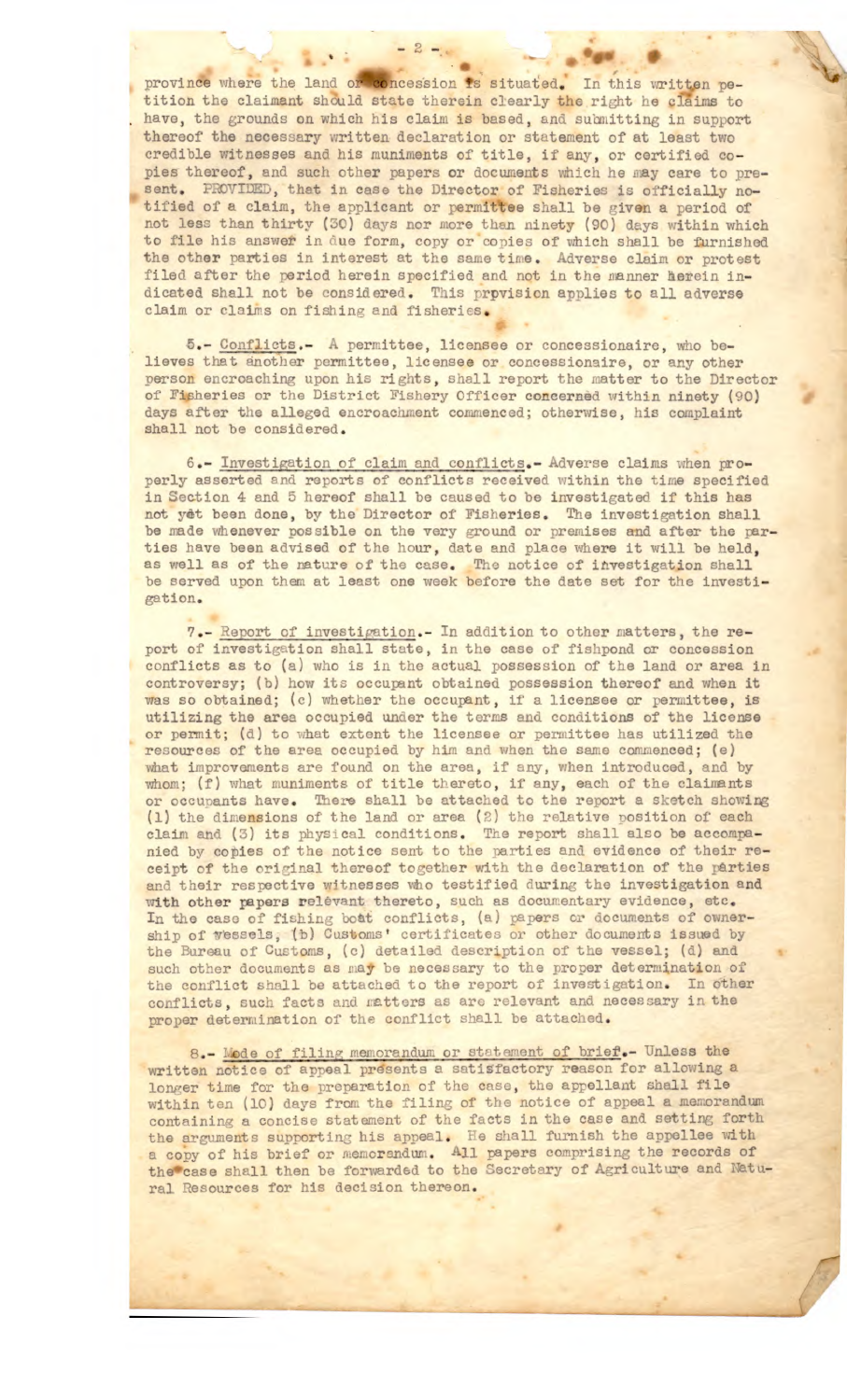province where the land or concession is situated. In this written petition the claimant should state therein clearly the right he claims to have, the grounds on which his claim is based, and submitting in support thereof the necessary written declaration or statement of at least two credible witnesses and his muniments of title, if any, or certified copies thereof, and such other papers or documents which he may care to prosent. PROVIDED, that in case the Director of Fisheries is officially notified of a claim, the applicant or permittee shall be given a period of not less than thirty (30) days nor more than ninety (90) days within which to file his answer in due form, copy or copies of which shall be furnished the other parties in interest at the same time. Adverse claim or protest filed after the period herein specified and not in the manner herein indicated shall not be considered. This prpvisicn applies to all adverse claim or claims on fishing and fisheries.

 $-2 - 0$ 

-

5.- Conflicts.- A permittee, licensee or concessionaire, who believes that another permittee, licensee or concessionaire, or any other person encroaching upon his rights, shall report the matter to the Director of Fisheries or the District Fishery Officer concerned within ninety (90) days after the alleged encroachment commenced; otherwise, his complaint shall not be considered.

6.- Investigation of claim and conflicts.- Adverse claims when properly asserted and reports of conflicts received within the time specified in Section 4 and 5 hereof shall be caused to be investigated if this has not yet been done, by the Director of Fisheries. The investigation shall be made whenever possible on the very ground or premises and after the parties have been advised of the hour, date and place where it will be held, as well as of the nature of the case. The notice of investigation shall be served upon them at least one week before the date set for the investigation.

7.- Report of investigation.- In addition to other matters, the report of investigation shall state, In the case of fishpond or concession conflicts as to (a) who is in the actual possession of the land or area in controversy; (b) how its occupant obtained possession thereof and when It was so obtained; (c) whether the occupant, if a licensee or permittee, is utilizing the area occupied under the terms and conditions of the license or permit; (d) to what extent the licensee or permittee has utilized the resources of the area occupied by him and when the same commenced; (e) what improvements are found on the area, if any, when introduced, and by whom; (f) what muniments of title thereto, if any, each of the claimants or occupants have. There shall be attached to the report a sketch showing (1) the dimensions of the land or area (2) the relative position of each claim and (3) its physical conditions. The report shall also be accompanied by copies of the notice sent to the parties and evidence of their receipt of the original thereof together with the declaration of the parties and their respective witnesses who testified during the investigation and with other papers relevant thereto, such as documentary evidence, etc. In the case of fishing boat conflicts, (a) papers or documents of ownership of vessels, (b) Customs' certificates or other documents issued by the Bureau of Customs, (C) detailed description of the vessel; (d) and such other documents as may be necessary to the proper determination of the conflict shall be attached to the report of investigation. In other conflicts, such facts and matters as are relevant and necessary in the proper determination of the conflict shall be attached.

8.- Mode of filing memorandum or statement of brief.- Unless the written notice of appeal presents a satisfactory reason for allowing a longer time for the preparation of the case, the appellant shall file within ten (10) days from the filing of the notice of appeal a memorandum containing a concise statement of the facts in the case and setting forth the arguments supporting his appeal. He shall furnish the appellee with a copy of his brief or memorandum. All papers comprising the records of the case shall then be forwarded to the Secretary of Agriculture and Natural Resources for his decision thereon.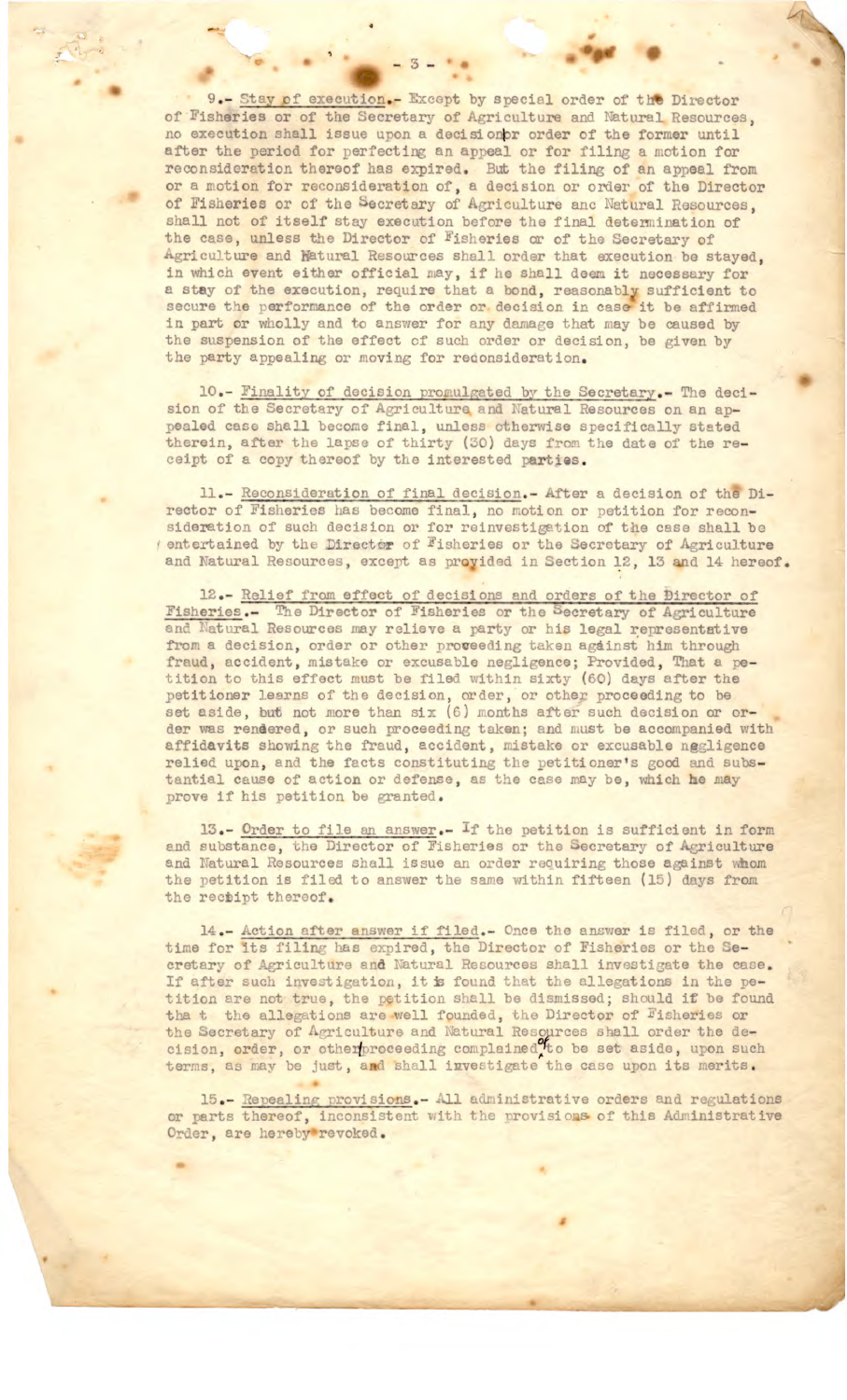9.- Stay of execution.- Except by special order of the Director of Fisheries or of the Secretary of Agriculture and Natural Resources, no execution shall issue upon a decisionbr order of the former until after the period for perfecting an appeal or for filing a motion for reconsideration thereof has expired. But the filing of an appeal from<br>or a motion for reconsideration of, a decision or order of the Director<br>of Fisheries or of the Secretary of Agriculture and Natural Resources, shall not of itself stay execution before the final determination of the case, unless the Director of Fisheries or of the Secretary of Agriculture and Matural Resources shall order that execution be stayed, in which event either official may, if he shall deem it necessary for a stay of the execution, require that a bond, reasonably sufficient to secure the performance of the order or decision in case it be affirmed in part or wholly and to answer for any damage that may be caused by the suspension of the effect of such order or decision, be given by the party appealing or moving for reconsideration.

10.- Finality of decision promulgated by the Secretary.- The decision of the Secretary of Agriculture and Natural Resources on an appealed case shall become final, unless otherwise specifically stated therein, after the lapse of thirty (30) days from the date of the receipt of a copy thereof by the interested parties.

11.- Reconsideration of final decision.- After a decision of the Director of Fisheries has become final, no motion or petition for reconsideration of such decision or for reinvestigation of the case shall be entertained by the Director of Fisheries or the Secretary of Agriculture and Natural Resources, except as provided in Section 12, 13 and 14 hereof.

12.- Relief from effect of decisions and orders of the Director of Fisheries.- The Director of Fisheries or the Secretary of Agriculture and Natural Resources may relieve a party or his legal representative from a decision, order or other proveeding taken against him through fraud, accident, mistake or excusable negligence; Provided, That a petition to this effect must be filed within sixty (60) days after the petitioner learns of the decision, order, or other proceeding to be set aside, but not more than six (6) months after such decision or order was rendered, or such proceeding taken; and must be accompanied with affidavits showing the fraud, accident, mistake or excusable nggligence relied upon, and the facts constituting the petitioner's good and substantial cause of action or defense, as the case may be, which he may prove if his petition be granted.

13.- Order to file an answer.- If the petition is sufficient in form and substance, the Director of Fisheries or the Secretary of Agriculture and Natural Resources shall issue an order requiring those against whom the petition is filed to answer the same within fifteen (15) days from the reciipt thereof.

14.- Action after answer if filed.- Once the answer is filed, or the time for its filing has expired, the Director of Fisheries or the Secretary of Agriculture and Natural Resources shall investigate the case. If after such investigation, it is found that the allegations in the petition are not true, the petition shall be dismissed; should if be found that the allegations are well founded, the Director of Fisheries or the Secretary of Agriculture and Natural Resources shall order the decision, order, or other proceeding complained to be set aside, upon such terms, as may be just, and shall investigate the case upon its merits.

15.- Repealing provisions.- All administrative orders and regulations or parts thereof, inconsistent with the provisions of this Administrative Order, are hereby revoked.